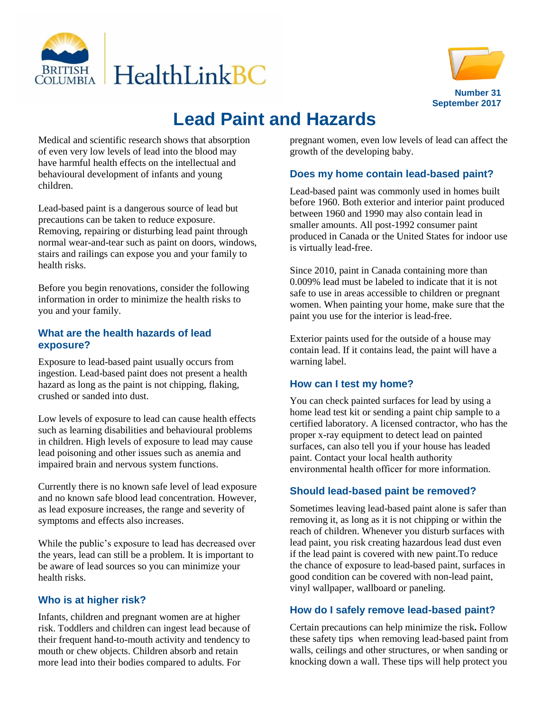



# **Lead Paint and Hazards**

Medical and scientific research shows that absorption of even very low levels of lead into the blood may have harmful health effects on the intellectual and behavioural development of infants and young children.

Lead-based paint is a dangerous source of lead but precautions can be taken to reduce exposure. Removing, repairing or disturbing lead paint through normal wear-and-tear such as paint on doors, windows, stairs and railings can expose you and your family to health risks.

Before you begin renovations, consider the following information in order to minimize the health risks to you and your family.

## **What are the health hazards of lead exposure?**

Exposure to lead-based paint usually occurs from ingestion. Lead-based paint does not present a health hazard as long as the paint is not chipping, flaking, crushed or sanded into dust.

Low levels of exposure to lead can cause health effects such as learning disabilities and behavioural problems in children. High levels of exposure to lead may cause lead poisoning and other issues such as anemia and impaired brain and nervous system functions.

Currently there is no known safe level of lead exposure and no known safe blood lead concentration. However, as lead exposure increases, the range and severity of symptoms and effects also increases.

While the public's exposure to lead has decreased over the years, lead can still be a problem. It is important to be aware of lead sources so you can minimize your health risks.

# **Who is at higher risk?**

Infants, children and pregnant women are at higher risk. Toddlers and children can ingest lead because of their frequent hand-to-mouth activity and tendency to mouth or chew objects. Children absorb and retain more lead into their bodies compared to adults. For

pregnant women, even low levels of lead can affect the growth of the developing baby.

## **Does my home contain lead-based paint?**

Lead-based paint was commonly used in homes built before 1960. Both exterior and interior paint produced between 1960 and 1990 may also contain lead in smaller amounts. All post-1992 consumer paint produced in Canada or the United States for indoor use is virtually lead-free.

Since 2010, paint in Canada containing more than 0.009% lead must be labeled to indicate that it is not safe to use in areas accessible to children or pregnant women. When painting your home, make sure that the paint you use for the interior is lead-free.

Exterior paints used for the outside of a house may contain lead. If it contains lead, the paint will have a warning label.

## **How can I test my home?**

You can check painted surfaces for lead by using a home lead test kit or sending a paint chip sample to a certified laboratory. A licensed contractor, who has the proper x-ray equipment to detect lead on painted surfaces, can also tell you if your house has leaded paint. Contact your local health authority environmental health officer for more information.

## **Should lead-based paint be removed?**

Sometimes leaving lead-based paint alone is safer than removing it, as long as it is not chipping or within the reach of children. Whenever you disturb surfaces with lead paint, you risk creating hazardous lead dust even if the lead paint is covered with new paint.To reduce the chance of exposure to lead-based paint, surfaces in good condition can be covered with non-lead paint, vinyl wallpaper, wallboard or paneling.

## **How do I safely remove lead-based paint?**

Certain precautions can help minimize the risk**.** Follow these safety tips when removing lead-based paint from walls, ceilings and other structures, or when sanding or knocking down a wall. These tips will help protect you